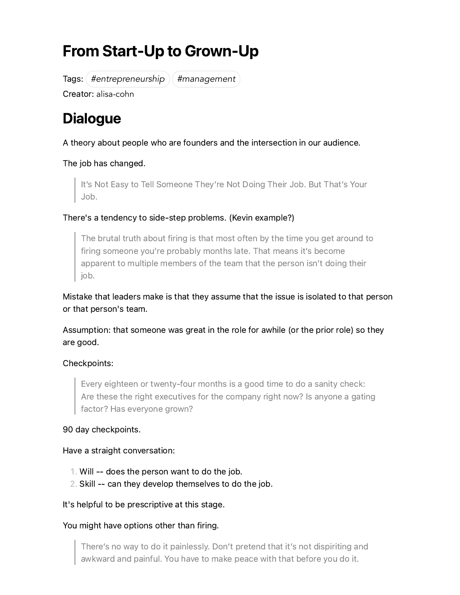# From Start-Up to Grown-Up

Tags: *#entrepreneurship #management*

Creator: alisa-cohn

## **Dialogue**

A theory about people who are founders and the intersection in our audience.

The job has changed.

It's Not Easy to Tell Someone They're Not Doing Their Job. But That's Your Job.

#### There's a tendency to side-step problems. (Kevin example?)

The brutal truth about firing is that most often by the time you get around to firing someone you're probably months late. That means it's become apparent to multiple members of the team that the person isn't doing their job.

Mistake that leaders make is that they assume that the issue is isolated to that person or that person's team.

Assumption: that someone was great in the role for awhile (or the prior role) so they are good.

#### Checkpoints:

Every eighteen or twenty-four months is a good time to do a sanity check: Are these the right executives for the company right now? Is anyone a gating factor? Has everyone grown?

#### 90 day checkpoints.

Have a straight conversation:

- . Will -- does the person want to do the job.
- . Skill -- can they develop themselves to do the job.

#### It's helpful to be prescriptive at this stage.

#### You might have options other than firing.

There's no way to do it painlessly. Don't pretend that it's not dispiriting and awkward and painful. You have to make peace with that before you do it.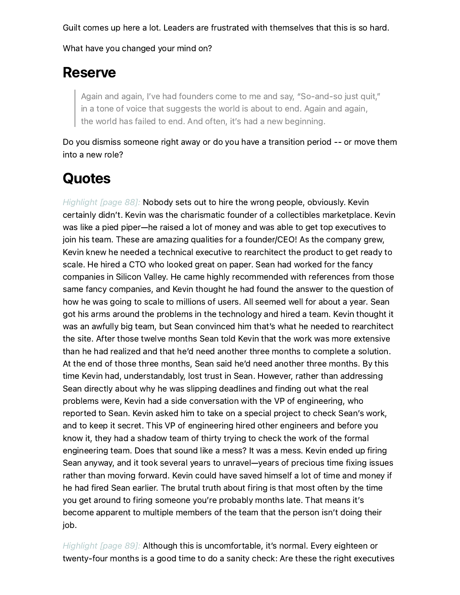Guilt comes up here a lot. Leaders are frustrated with themselves that this is so hard.

What have you changed your mind on?

## Reserve

Again and again, I've had founders come to me and say, "So-and-so just quit," in a tone of voice that suggests the world is about to end. Again and again, the world has failed to end. And often, it's had a new beginning.

Do you dismiss someone right away or do you have a transition period -- or move them into a new role?

## **Quotes**

Highlight [page 88]: Nobody sets out to hire the wrong people, obviously. Kevin certainly didn't. Kevin was the charismatic founder of a collectibles marketplace. Kevin was like a pied piper—he raised a lot of money and was able to get top executives to join his team. These are amazing qualities for a founder/CEO! As the company grew, Kevin knew he needed a technical executive to rearchitect the product to get ready to scale. He hired a CTO who looked great on paper. Sean had worked for the fancy companies in Silicon Valley. He came highly recommended with references from those same fancy companies, and Kevin thought he had found the answer to the question of how he was going to scale to millions of users. All seemed well for about a year. Sean got his arms around the problems in the technology and hired a team. Kevin thought it was an awfully big team, but Sean convinced him that's what he needed to rearchitect the site. After those twelve months Sean told Kevin that the work was more extensive than he had realized and that he'd need another three months to complete a solution. At the end of those three months, Sean said he'd need another three months. By this time Kevin had, understandably, lost trust in Sean. However, rather than addressing Sean directly about why he was slipping deadlines and finding out what the real problems were, Kevin had a side conversation with the VP of engineering, who reported to Sean. Kevin asked him to take on a special project to check Sean's work, and to keep it secret. This VP of engineering hired other engineers and before you know it, they had a shadow team of thirty trying to check the work of the formal engineering team. Does that sound like a mess? It was a mess. Kevin ended up firing Sean anyway, and it took several years to unravel—years of precious time fixing issues rather than moving forward. Kevin could have saved himself a lot of time and money if he had fired Sean earlier. The brutal truth about firing is that most often by the time you get around to firing someone you're probably months late. That means it's become apparent to multiple members of the team that the person isn't doing their job.

Highlight [page 89]: Although this is uncomfortable, it's normal. Every eighteen or twenty-four months is a good time to do a sanity check: Are these the right executives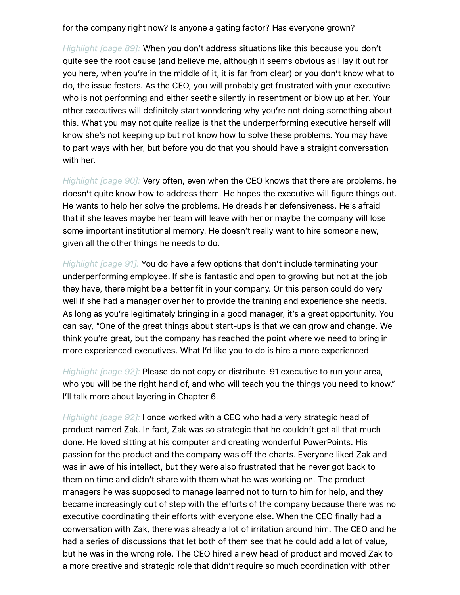for the company right now? Is anyone a gating factor? Has everyone grown?

Highlight [page 89]: When you don't address situations like this because you don't quite see the root cause (and believe me, although it seems obvious as I lay it out for you here, when you're in the middle of it, it is far from clear) or you don't know what to do, the issue festers. As the CEO, you will probably get frustrated with your executive who is not performing and either seethe silently in resentment or blow up at her. Your other executives will definitely start wondering why you're not doing something about this. What you may not quite realize is that the underperforming executive herself will know she's not keeping up but not know how to solve these problems. You may have to part ways with her, but before you do that you should have a straight conversation with her.

Highlight [page 90]: Very often, even when the CEO knows that there are problems, he doesn't quite know how to address them. He hopes the executive will figure things out. He wants to help her solve the problems. He dreads her defensiveness. He's afraid that if she leaves maybe her team will leave with her or maybe the company will lose some important institutional memory. He doesn't really want to hire someone new, given all the other things he needs to do.

Highlight [page 91]: You do have a few options that don't include terminating your underperforming employee. If she is fantastic and open to growing but not at the job they have, there might be a better fit in your company. Or this person could do very well if she had a manager over her to provide the training and experience she needs. As long as you're legitimately bringing in a good manager, it's a great opportunity. You can say, "One of the great things about start-ups is that we can grow and change. We think you're great, but the company has reached the point where we need to bring in more experienced executives. What I'd like you to do is hire a more experienced

Highlight [page 92]: Please do not copy or distribute. 91 executive to run your area, who you will be the right hand of, and who will teach you the things you need to know." I'll talk more about layering in Chapter 6.

Highlight [page 92]: I once worked with a CEO who had a very strategic head of product named Zak. In fact, Zak was so strategic that he couldn't get all that much done. He loved sitting at his computer and creating wonderful PowerPoints. His passion for the product and the company was off the charts. Everyone liked Zak and was in awe of his intellect, but they were also frustrated that he never got back to them on time and didn't share with them what he was working on. The product managers he was supposed to manage learned not to turn to him for help, and they became increasingly out of step with the efforts of the company because there was no executive coordinating their efforts with everyone else. When the CEO finally had a conversation with Zak, there was already a lot of irritation around him. The CEO and he had a series of discussions that let both of them see that he could add a lot of value, but he was in the wrong role. The CEO hired a new head of product and moved Zak to a more creative and strategic role that didn't require so much coordination with other